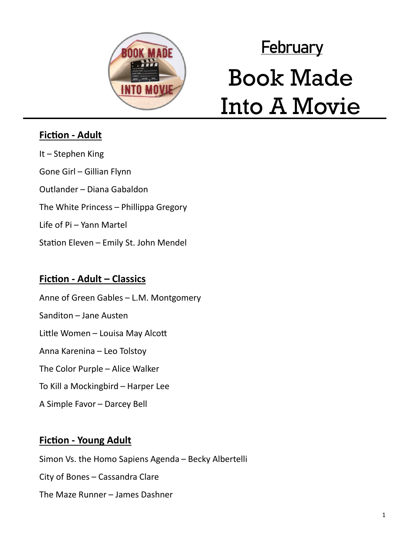

# **February** Book Made Into A Movie

## **Fiction - Adult**

It – Stephen King Gone Girl – Gillian Flynn Outlander – Diana Gabaldon The White Princess – Phillippa Gregory Life of Pi – Yann Martel Station Eleven – Emily St. John Mendel

### **Fiction - Adult – Classics**

Anne of Green Gables – L.M. Montgomery Sanditon – Jane Austen Little Women – Louisa May Alcott Anna Karenina – Leo Tolstoy The Color Purple – Alice Walker To Kill a Mockingbird – Harper Lee A Simple Favor – Darcey Bell

# **Fiction - Young Adult**

Simon Vs. the Homo Sapiens Agenda – Becky Albertelli City of Bones – Cassandra Clare The Maze Runner – James Dashner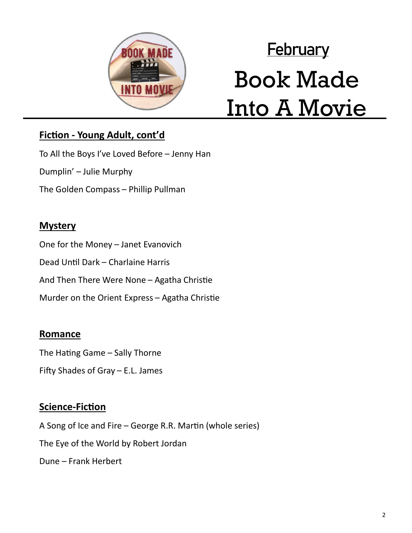

# **February** Book Made Into A Movie

# **Fiction - Young Adult, cont'd**

To All the Boys I've Loved Before – Jenny Han

Dumplin' – Julie Murphy

The Golden Compass – Phillip Pullman

#### **Mystery**

One for the Money – Janet Evanovich

Dead Until Dark – Charlaine Harris

And Then There Were None – Agatha Christie

Murder on the Orient Express – Agatha Christie

#### **Romance**

The Hating Game – Sally Thorne

Fifty Shades of Gray – E.L. James

#### **Science-Fiction**

A Song of Ice and Fire – George R.R. Martin (whole series) The Eye of the World by Robert Jordan Dune – Frank Herbert